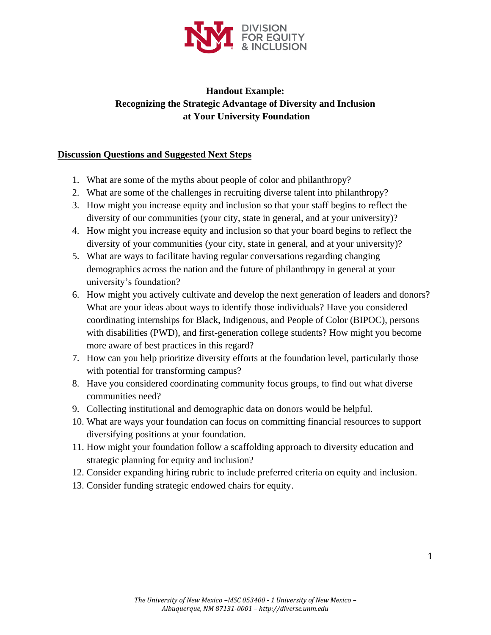

# **Handout Example: Recognizing the Strategic Advantage of Diversity and Inclusion at Your University Foundation**

## **Discussion Questions and Suggested Next Steps**

- 1. What are some of the myths about people of color and philanthropy?
- 2. What are some of the challenges in recruiting diverse talent into philanthropy?
- 3. How might you increase equity and inclusion so that your staff begins to reflect the diversity of our communities (your city, state in general, and at your university)?
- 4. How might you increase equity and inclusion so that your board begins to reflect the diversity of your communities (your city, state in general, and at your university)?
- 5. What are ways to facilitate having regular conversations regarding changing demographics across the nation and the future of philanthropy in general at your university's foundation?
- 6. How might you actively cultivate and develop the next generation of leaders and donors? What are your ideas about ways to identify those individuals? Have you considered coordinating internships for Black, Indigenous, and People of Color (BIPOC), persons with disabilities (PWD), and first-generation college students? How might you become more aware of best practices in this regard?
- 7. How can you help prioritize diversity efforts at the foundation level, particularly those with potential for transforming campus?
- 8. Have you considered coordinating community focus groups, to find out what diverse communities need?
- 9. Collecting institutional and demographic data on donors would be helpful.
- 10. What are ways your foundation can focus on committing financial resources to support diversifying positions at your foundation.
- 11. How might your foundation follow a scaffolding approach to diversity education and strategic planning for equity and inclusion?
- 12. Consider expanding hiring rubric to include preferred criteria on equity and inclusion.
- 13. Consider funding strategic endowed chairs for equity.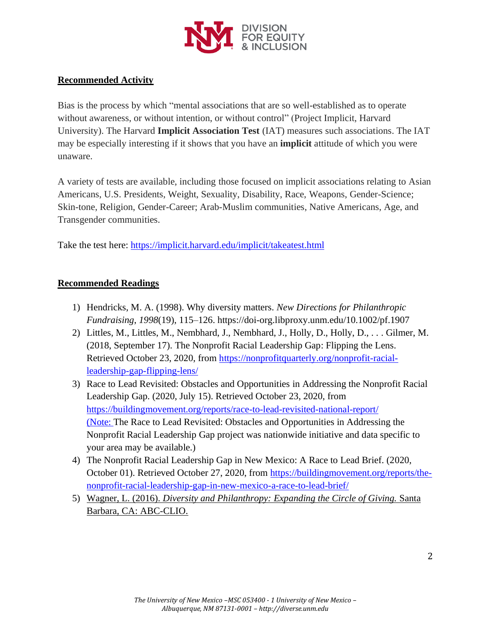

# **Recommended Activity**

Bias is the process by which "mental associations that are so well-established as to operate without awareness, or without intention, or without control" (Project Implicit, Harvard University). The Harvard **Implicit Association Test** (IAT) measures such associations. The IAT may be especially interesting if it shows that you have an **implicit** attitude of which you were unaware.

A variety of tests are available, including those focused on implicit associations relating to Asian Americans, U.S. Presidents, Weight, Sexuality, Disability, Race, Weapons, Gender-Science; Skin-tone, Religion, Gender-Career; Arab-Muslim communities, Native Americans, Age, and Transgender communities.

Take the test here:<https://implicit.harvard.edu/implicit/takeatest.html>

## **Recommended Readings**

- 1) Hendricks, M. A. (1998). Why diversity matters. *New Directions for Philanthropic Fundraising*, *1998*(19), 115–126. https://doi-org.libproxy.unm.edu/10.1002/pf.1907
- 2) Littles, M., Littles, M., Nembhard, J., Nembhard, J., Holly, D., Holly, D., . . . Gilmer, M. (2018, September 17). The Nonprofit Racial Leadership Gap: Flipping the Lens. Retrieved October 23, 2020, from [https://nonprofitquarterly.org/nonprofit-racial](https://nonprofitquarterly.org/nonprofit-racial-leadership-gap-flipping-lens/)[leadership-gap-flipping-lens/](https://nonprofitquarterly.org/nonprofit-racial-leadership-gap-flipping-lens/)
- 3) Race to Lead Revisited: Obstacles and Opportunities in Addressing the Nonprofit Racial Leadership Gap. (2020, July 15). Retrieved October 23, 2020, from <https://buildingmovement.org/reports/race-to-lead-revisited-national-report/> (Note: The Race to Lead Revisited: Obstacles and Opportunities in Addressing the Nonprofit Racial Leadership Gap project was nationwide initiative and data specific to your area may be available.)
- 4) The Nonprofit Racial Leadership Gap in New Mexico: A Race to Lead Brief. (2020, October 01). Retrieved October 27, 2020, from [https://buildingmovement.org/reports/the](https://buildingmovement.org/reports/the-nonprofit-racial-leadership-gap-in-new-mexico-a-race-to-lead-brief/)[nonprofit-racial-leadership-gap-in-new-mexico-a-race-to-lead-brief/](https://buildingmovement.org/reports/the-nonprofit-racial-leadership-gap-in-new-mexico-a-race-to-lead-brief/)
- 5) Wagner, L. (2016). *Diversity and Philanthropy: Expanding the Circle of Giving.* Santa Barbara, CA: ABC-CLIO.